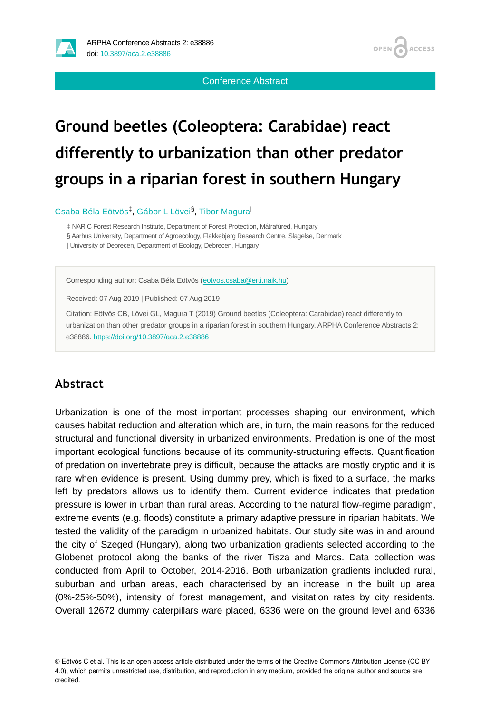Conference Abstract

# **Ground beetles (Coleoptera: Carabidae) react differently to urbanization than other predator groups in a riparian forest in southern Hungary**

Csaba Béla Eötvös<sup>‡</sup>, Gábor L Lövei<sup>§</sup>, Tibor Magura<sup>l</sup>

‡ NARIC Forest Research Institute, Department of Forest Protection, Mátrafüred, Hungary

§ Aarhus University, Department of Agroecology, Flakkebjerg Research Centre, Slagelse, Denmark

| University of Debrecen, Department of Ecology, Debrecen, Hungary

Corresponding author: Csaba Béla Eötvös ([eotvos.csaba@erti.naik.hu](mailto:eotvos.csaba@erti.naik.hu))

Received: 07 Aug 2019 | Published: 07 Aug 2019

Citation: Eötvös CB, Lövei GL, Magura T (2019) Ground beetles (Coleoptera: Carabidae) react differently to urbanization than other predator groups in a riparian forest in southern Hungary. ARPHA Conference Abstracts 2: e38886.<https://doi.org/10.3897/aca.2.e38886>

## **Abstract**

Urbanization is one of the most important processes shaping our environment, which causes habitat reduction and alteration which are, in turn, the main reasons for the reduced structural and functional diversity in urbanized environments. Predation is one of the most important ecological functions because of its community-structuring effects. Quantification of predation on invertebrate prey is difficult, because the attacks are mostly cryptic and it is rare when evidence is present. Using dummy prey, which is fixed to a surface, the marks left by predators allows us to identify them. Current evidence indicates that predation pressure is lower in urban than rural areas. According to the natural flow-regime paradigm, extreme events (e.g. floods) constitute a primary adaptive pressure in riparian habitats. We tested the validity of the paradigm in urbanized habitats. Our study site was in and around the city of Szeged (Hungary), along two urbanization gradients selected according to the Globenet protocol along the banks of the river Tisza and Maros. Data collection was conducted from April to October, 2014-2016. Both urbanization gradients included rural, suburban and urban areas, each characterised by an increase in the built up area (0%-25%-50%), intensity of forest management, and visitation rates by city residents. Overall 12672 dummy caterpillars ware placed, 6336 were on the ground level and 6336

© Eötvös C et al. This is an open access article distributed under the terms of the Creative Commons Attribution License (CC BY 4.0), which permits unrestricted use, distribution, and reproduction in any medium, provided the original author and source are credited.